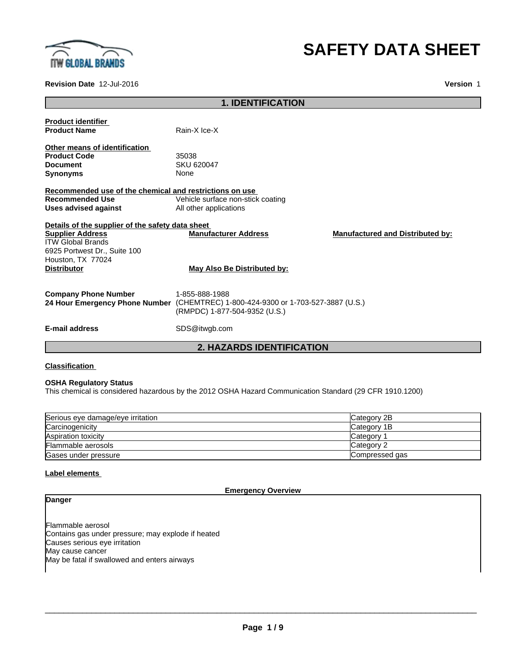

# **SAFETY DATA SHEET**

# **Revision Date** 12-Jul-2016 **Version** 1

|                                                         | <b>1. IDENTIFICATION</b>                           |                                         |
|---------------------------------------------------------|----------------------------------------------------|-----------------------------------------|
| <b>Product identifier</b>                               |                                                    |                                         |
| <b>Product Name</b>                                     | Rain-X Ice-X                                       |                                         |
|                                                         |                                                    |                                         |
| Other means of identification                           |                                                    |                                         |
| <b>Product Code</b>                                     | 35038                                              |                                         |
| <b>Document</b>                                         | SKU 620047                                         |                                         |
| <b>Synonyms</b>                                         | None                                               |                                         |
| Recommended use of the chemical and restrictions on use |                                                    |                                         |
| <b>Recommended Use</b>                                  | Vehicle surface non-stick coating                  |                                         |
| Uses advised against                                    | All other applications                             |                                         |
|                                                         |                                                    |                                         |
| Details of the supplier of the safety data sheet        |                                                    |                                         |
| <b>Supplier Address</b>                                 | <b>Manufacturer Address</b>                        | <b>Manufactured and Distributed by:</b> |
| <b>ITW Global Brands</b>                                |                                                    |                                         |
| 6925 Portwest Dr., Suite 100                            |                                                    |                                         |
| Houston, TX 77024                                       |                                                    |                                         |
| <b>Distributor</b>                                      | May Also Be Distributed by:                        |                                         |
|                                                         |                                                    |                                         |
|                                                         |                                                    |                                         |
| <b>Company Phone Number</b>                             | 1-855-888-1988                                     |                                         |
| 24 Hour Emergency Phone Number                          | (CHEMTREC) 1-800-424-9300 or 1-703-527-3887 (U.S.) |                                         |
|                                                         | (RMPDC) 1-877-504-9352 (U.S.)                      |                                         |
|                                                         |                                                    |                                         |
| <b>E-mail address</b>                                   | SDS@itwgb.com                                      |                                         |
|                                                         |                                                    |                                         |

**2. HAZARDS IDENTIFICATION**

# **Classification**

# **OSHA Regulatory Status**

This chemical is considered hazardous by the 2012 OSHA Hazard Communication Standard (29 CFR 1910.1200)

| Serious eye damage/eye irritation | Category 2B     |
|-----------------------------------|-----------------|
| Carcinogenicity                   | Category 1B     |
| Aspiration toxicity               | <b>Category</b> |
| Flammable aerosols                | Category 2      |
| Gases under pressure              | Compressed gas  |

# **Label elements**

**Emergency Overview**

# **Danger**

Flammable aerosol Contains gas under pressure; may explode if heated Causes serious eye irritation May cause cancer May be fatal if swallowed and enters airways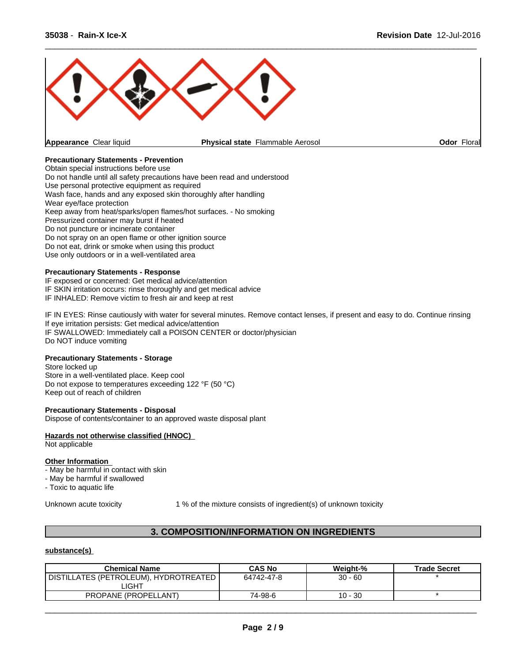

# **Precautionary Statements - Prevention**

Obtain special instructions before use Do not handle until all safety precautions have been read and understood Use personal protective equipment as required Wash face, hands and any exposed skin thoroughly after handling Wear eye/face protection Keep away from heat/sparks/open flames/hot surfaces. - No smoking Pressurized container may burst if heated Do not puncture or incinerate container Do not spray on an open flame or other ignition source Do not eat, drink or smoke when using this product Use only outdoors or in a well-ventilated area

# **Precautionary Statements - Response**

IF exposed or concerned: Get medical advice/attention IF SKIN irritation occurs: rinse thoroughly and get medical advice IF INHALED: Remove victim to fresh air and keep at rest

IF IN EYES: Rinse cautiously with water for several minutes. Remove contact lenses, if present and easy to do. Continue rinsing If eye irritation persists: Get medical advice/attention IF SWALLOWED: Immediately call a POISON CENTER or doctor/physician Do NOT induce vomiting

# **Precautionary Statements - Storage**

Store locked up Store in a well-ventilated place. Keep cool Do not expose to temperatures exceeding 122 °F (50 °C) Keep out of reach of children

#### **Precautionary Statements - Disposal**

Dispose of contents/container to an approved waste disposal plant

#### **Hazards not otherwise classified (HNOC)**

Not applicable

#### **Other Information**

- May be harmful in contact with skin
- May be harmful if swallowed

- Toxic to aquatic life

Unknown acute toxicity 1 % of the mixture consists of ingredient(s) of unknown toxicity

# **3. COMPOSITION/INFORMATION ON INGREDIENTS**

# **substance(s)**

| <b>Chemical Name</b>                  | <b>CAS No</b> | Weight-%  | <b>Trade Secret</b> |
|---------------------------------------|---------------|-----------|---------------------|
| DISTILLATES (PETROLEUM), HYDROTREATED | 64742-47-8    | $30 - 60$ |                     |
| _IGHT                                 |               |           |                     |
| PROPANE (PROPELLANT)                  | 74-98-6       | $10 - 30$ |                     |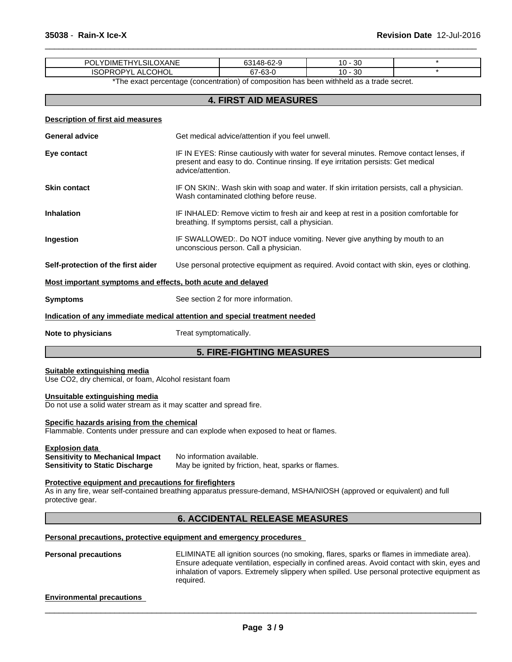| <b>OXANE</b><br>מח<br>YDIMETHYL<br>SII<br><b>JIMH</b><br>UL | $AB$ <sub>-62-0</sub><br>ົ້<br>9-2-%14ار<br>ື | 1 ጦ<br>n c<br>l U<br>υc |  |
|-------------------------------------------------------------|-----------------------------------------------|-------------------------|--|
| COHOL<br>ISOI<br><br>ט (<br>ົ∪⊵⊺<br><b>AL</b>               | -63.<br>c7<br>01<br>⊸ഠാ∹                      | $\sim$<br>1 C<br>ು∪     |  |
|                                                             | . .<br>_____                                  | .                       |  |

\*The exact percentage (concentration) of composition has been withheld as a trade secret.

 $\overline{\phantom{a}}$  ,  $\overline{\phantom{a}}$  ,  $\overline{\phantom{a}}$  ,  $\overline{\phantom{a}}$  ,  $\overline{\phantom{a}}$  ,  $\overline{\phantom{a}}$  ,  $\overline{\phantom{a}}$  ,  $\overline{\phantom{a}}$  ,  $\overline{\phantom{a}}$  ,  $\overline{\phantom{a}}$  ,  $\overline{\phantom{a}}$  ,  $\overline{\phantom{a}}$  ,  $\overline{\phantom{a}}$  ,  $\overline{\phantom{a}}$  ,  $\overline{\phantom{a}}$  ,  $\overline{\phantom{a}}$ 

# **4. FIRST AID MEASURES**

| Description of first aid measures                           |                                                                                                                                                                                                  |
|-------------------------------------------------------------|--------------------------------------------------------------------------------------------------------------------------------------------------------------------------------------------------|
| <b>General advice</b>                                       | Get medical advice/attention if you feel unwell.                                                                                                                                                 |
| Eye contact                                                 | IF IN EYES: Rinse cautiously with water for several minutes. Remove contact lenses, if<br>present and easy to do. Continue rinsing. If eye irritation persists: Get medical<br>advice/attention. |
| <b>Skin contact</b>                                         | IF ON SKIN:. Wash skin with soap and water. If skin irritation persists, call a physician.<br>Wash contaminated clothing before reuse.                                                           |
| <b>Inhalation</b>                                           | IF INHALED: Remove victim to fresh air and keep at rest in a position comfortable for<br>breathing. If symptoms persist, call a physician.                                                       |
| Ingestion                                                   | IF SWALLOWED:. Do NOT induce vomiting. Never give anything by mouth to an<br>unconscious person. Call a physician.                                                                               |
| Self-protection of the first aider                          | Use personal protective equipment as required. Avoid contact with skin, eyes or clothing.                                                                                                        |
| Most important symptoms and effects, both acute and delayed |                                                                                                                                                                                                  |
| <b>Symptoms</b>                                             | See section 2 for more information.                                                                                                                                                              |
|                                                             | Indication of any immediate medical attention and special treatment needed                                                                                                                       |
| Note to physicians                                          | Treat symptomatically.                                                                                                                                                                           |
|                                                             | <b>5. FIRE-FIGHTING MEASURES</b>                                                                                                                                                                 |

#### **Suitable extinguishing media** Use CO2, dry chemical, or foam, Alcohol resistant foam

### **Unsuitable extinguishing media**

Do not use a solid water stream as it may scatter and spread fire.

# **Specific hazards arising from the chemical**

Flammable. Contents under pressure and can explode when exposed to heat or flames.

**Explosion data**

**Sensitivity to Mechanical Impact** No information available. **Sensitivity to Static Discharge** May be ignited by friction, heat, sparks or flames.

#### **Protective equipment and precautions for firefighters**

As in any fire, wear self-contained breathing apparatus pressure-demand, MSHA/NIOSH (approved or equivalent) and full protective gear.

# **6. ACCIDENTAL RELEASE MEASURES**

**Personal precautions, protective equipment and emergency procedures**

**Personal precautions** ELIMINATE all ignition sources (no smoking, flares, sparks or flames in immediate area). Ensure adequate ventilation, especially in confined areas. Avoid contact with skin, eyes and inhalation of vapors. Extremely slippery when spilled. Use personal protective equipment as required.

#### **Environmental precautions**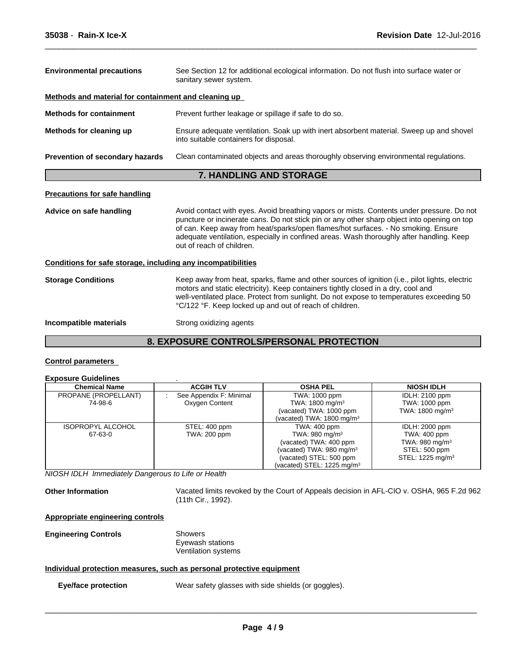| <b>Environmental precautions</b>                             | See Section 12 for additional ecological information. Do not flush into surface water or<br>sanitary sewer system.                                                                                                                                                                                                                                                                                     |  |  |
|--------------------------------------------------------------|--------------------------------------------------------------------------------------------------------------------------------------------------------------------------------------------------------------------------------------------------------------------------------------------------------------------------------------------------------------------------------------------------------|--|--|
| Methods and material for containment and cleaning up         |                                                                                                                                                                                                                                                                                                                                                                                                        |  |  |
| <b>Methods for containment</b>                               | Prevent further leakage or spillage if safe to do so.                                                                                                                                                                                                                                                                                                                                                  |  |  |
| Methods for cleaning up                                      | Ensure adequate ventilation. Soak up with inert absorbent material. Sweep up and shovel<br>into suitable containers for disposal.                                                                                                                                                                                                                                                                      |  |  |
| Prevention of secondary hazards                              | Clean contaminated objects and areas thoroughly observing environmental regulations.                                                                                                                                                                                                                                                                                                                   |  |  |
|                                                              | <b>7. HANDLING AND STORAGE</b>                                                                                                                                                                                                                                                                                                                                                                         |  |  |
| <b>Precautions for safe handling</b>                         |                                                                                                                                                                                                                                                                                                                                                                                                        |  |  |
| Advice on safe handling                                      | Avoid contact with eyes. Avoid breathing vapors or mists. Contents under pressure. Do not<br>puncture or incinerate cans. Do not stick pin or any other sharp object into opening on top<br>of can. Keep away from heat/sparks/open flames/hot surfaces. - No smoking. Ensure<br>adequate ventilation, especially in confined areas. Wash thoroughly after handling. Keep<br>out of reach of children. |  |  |
| Conditions for safe storage, including any incompatibilities |                                                                                                                                                                                                                                                                                                                                                                                                        |  |  |
| <b>Storage Conditions</b>                                    | Keep away from heat, sparks, flame and other sources of ignition (i.e., pilot lights, electric<br>motors and static electricity). Keep containers tightly closed in a dry, cool and<br>well-ventilated place. Protect from sunlight. Do not expose to temperatures exceeding 50<br>°C/122 °F. Keep locked up and out of reach of children.                                                             |  |  |
|                                                              |                                                                                                                                                                                                                                                                                                                                                                                                        |  |  |

 $\overline{\phantom{a}}$  ,  $\overline{\phantom{a}}$  ,  $\overline{\phantom{a}}$  ,  $\overline{\phantom{a}}$  ,  $\overline{\phantom{a}}$  ,  $\overline{\phantom{a}}$  ,  $\overline{\phantom{a}}$  ,  $\overline{\phantom{a}}$  ,  $\overline{\phantom{a}}$  ,  $\overline{\phantom{a}}$  ,  $\overline{\phantom{a}}$  ,  $\overline{\phantom{a}}$  ,  $\overline{\phantom{a}}$  ,  $\overline{\phantom{a}}$  ,  $\overline{\phantom{a}}$  ,  $\overline{\phantom{a}}$ 

# **8. EXPOSURE CONTROLS/PERSONAL PROTECTION**

# **Control parameters**

| <b>Exposure Guidelines</b> |                         |                                      |                              |
|----------------------------|-------------------------|--------------------------------------|------------------------------|
| <b>Chemical Name</b>       | <b>ACGIH TLV</b>        | <b>OSHA PEL</b>                      | <b>NIOSH IDLH</b>            |
| PROPANE (PROPELLANT)       | See Appendix F: Minimal | TWA: 1000 ppm                        | <b>IDLH: 2100 ppm</b>        |
| 74-98-6                    | Oxygen Content          | TWA: 1800 mg/m <sup>3</sup>          | TWA: 1000 ppm                |
|                            |                         | (vacated) TWA: 1000 ppm              | TWA: 1800 mg/m <sup>3</sup>  |
|                            |                         | (vacated) TWA: $1800 \text{ mg/m}^3$ |                              |
| <b>ISOPROPYL ALCOHOL</b>   | STEL: 400 ppm           | TWA: 400 ppm                         | IDLH: 2000 ppm               |
| 67-63-0                    | TWA: 200 ppm            | TWA: 980 mg/m <sup>3</sup>           | TWA: 400 ppm                 |
|                            |                         | (vacated) TWA: 400 ppm               | TWA: $980 \text{ mg/m}^3$    |
|                            |                         | (vacated) TWA: 980 mg/m <sup>3</sup> | STEL: 500 ppm                |
|                            |                         | (vacated) STEL: 500 ppm              | STEL: 1225 mg/m <sup>3</sup> |
|                            |                         | (vacated) STEL: 1225 mg/m $3$        |                              |

*NIOSH IDLH Immediately Dangerous to Life or Health*

**Other Information** Vacated limits revoked by the Court of Appeals decision in AFL-CIO v.OSHA, 965 F.2d 962 (11th Cir., 1992).

# **Appropriate engineering controls**

**Engineering Controls** Showers Eyewash stations Ventilation systems

# **Individual protection measures, such as personal protective equipment**

**Eye/face protection** Wear safety glasses with side shields (or goggles).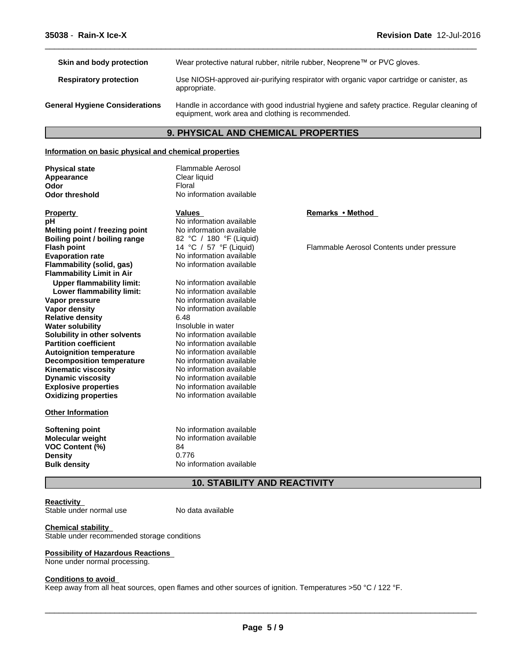**Skin and body protection** Wear protective natural rubber, nitrile rubber, Neoprene™ or PVC gloves. **Respiratory protection** Use NIOSH-approved air-purifying respirator with organic vapor cartridge or canister, as appropriate. **General Hygiene Considerations** Handle in accordance with good industrial hygiene and safety practice. Regular cleaning of equipment, work area and clothing is recommended.

 $\overline{\phantom{a}}$  ,  $\overline{\phantom{a}}$  ,  $\overline{\phantom{a}}$  ,  $\overline{\phantom{a}}$  ,  $\overline{\phantom{a}}$  ,  $\overline{\phantom{a}}$  ,  $\overline{\phantom{a}}$  ,  $\overline{\phantom{a}}$  ,  $\overline{\phantom{a}}$  ,  $\overline{\phantom{a}}$  ,  $\overline{\phantom{a}}$  ,  $\overline{\phantom{a}}$  ,  $\overline{\phantom{a}}$  ,  $\overline{\phantom{a}}$  ,  $\overline{\phantom{a}}$  ,  $\overline{\phantom{a}}$ 

# **9. PHYSICAL AND CHEMICAL PROPERTIES**

#### **Information on basic physical and chemical properties**

**Physical state** Flammable Aerosol **Appearance** Clear liquid<br> **Odor** Floral **Odor** Floral

**Odor threshold** No information available

| <b>Property</b>                  | Values                   | <b>Remarks</b> |
|----------------------------------|--------------------------|----------------|
| рH                               | No information available |                |
| Melting point / freezing point   | No information available |                |
| Boiling point / boiling range    | 82 °C / 180 °F (Liquid)  |                |
| <b>Flash point</b>               | 14 °C / 57 °F (Liquid)   | Flammat        |
| <b>Evaporation rate</b>          | No information available |                |
| Flammability (solid, gas)        | No information available |                |
| <b>Flammability Limit in Air</b> |                          |                |
| <b>Upper flammability limit:</b> | No information available |                |
| Lower flammability limit:        | No information available |                |
| Vapor pressure                   | No information available |                |
| <b>Vapor density</b>             | No information available |                |
| <b>Relative density</b>          | 6.48                     |                |
| <b>Water solubility</b>          | Insoluble in water       |                |
| Solubility in other solvents     | No information available |                |
| <b>Partition coefficient</b>     | No information available |                |
| <b>Autoignition temperature</b>  | No information available |                |
| <b>Decomposition temperature</b> | No information available |                |
| Kinematic viscosity              | No information available |                |
| <b>Dynamic viscosity</b>         | No information available |                |
| <b>Explosive properties</b>      | No information available |                |
| <b>Oxidizing properties</b>      | No information available |                |
| <b>Other Information</b>         |                          |                |
| <b>Softening point</b>           | No information available |                |
| Molecular weight                 | No information available |                |
| <b>VOC Content (%)</b>           | 84                       |                |
| <b>Density</b>                   | 0.776                    |                |
| <b>Bulk density</b>              | No information available |                |

# **Remarks • Method**<br>able

**Flammable Aerosol Contents under pressure** Flammable Aerosol Contents under pressure

# **10. STABILITY AND REACTIVITY**

**Reactivity** Stable under normal use

No data available

**Chemical stability** Stable under recommended storage conditions

# **Possibility of Hazardous Reactions**

None under normal processing.

#### **Conditions to avoid**

Keep away from all heat sources, open flames and other sources of ignition. Temperatures >50 °C / 122 °F.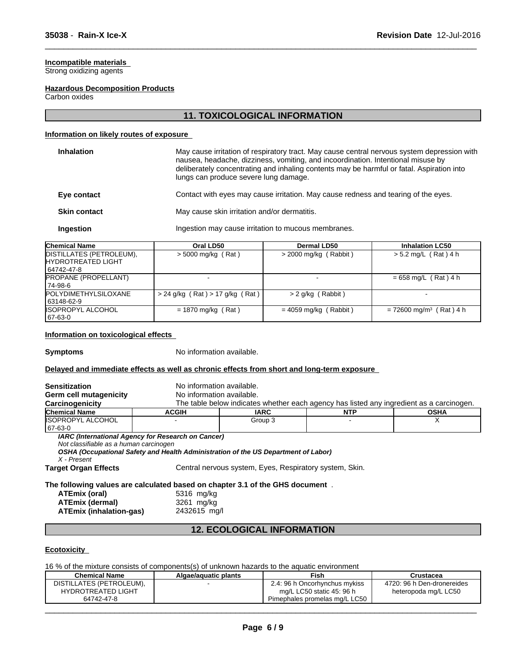# **Incompatible materials**

Strong oxidizing agents

### **Hazardous Decomposition Products**

Carbon oxides

# **11. TOXICOLOGICAL INFORMATION**

 $\overline{\phantom{a}}$  ,  $\overline{\phantom{a}}$  ,  $\overline{\phantom{a}}$  ,  $\overline{\phantom{a}}$  ,  $\overline{\phantom{a}}$  ,  $\overline{\phantom{a}}$  ,  $\overline{\phantom{a}}$  ,  $\overline{\phantom{a}}$  ,  $\overline{\phantom{a}}$  ,  $\overline{\phantom{a}}$  ,  $\overline{\phantom{a}}$  ,  $\overline{\phantom{a}}$  ,  $\overline{\phantom{a}}$  ,  $\overline{\phantom{a}}$  ,  $\overline{\phantom{a}}$  ,  $\overline{\phantom{a}}$ 

# **Information on likely routes of exposure**

| <b>Inhalation</b>   | May cause irritation of respiratory tract. May cause central nervous system depression with<br>nausea, headache, dizziness, vomiting, and incoordination. Intentional misuse by<br>deliberately concentrating and inhaling contents may be harmful or fatal. Aspiration into<br>lungs can produce severe lung damage. |
|---------------------|-----------------------------------------------------------------------------------------------------------------------------------------------------------------------------------------------------------------------------------------------------------------------------------------------------------------------|
| Eye contact         | Contact with eyes may cause irritation. May cause redness and tearing of the eyes.                                                                                                                                                                                                                                    |
| <b>Skin contact</b> | May cause skin irritation and/or dermatitis.                                                                                                                                                                                                                                                                          |
| Ingestion           | Ingestion may cause irritation to mucous membranes.                                                                                                                                                                                                                                                                   |
|                     |                                                                                                                                                                                                                                                                                                                       |

| <b>Chemical Name</b>        | Oral LD50                           | Dermal LD50             | <b>Inhalation LC50</b>                |
|-----------------------------|-------------------------------------|-------------------------|---------------------------------------|
| DISTILLATES (PETROLEUM),    | $>$ 5000 mg/kg (Rat)                | $>$ 2000 mg/kg (Rabbit) | $> 5.2$ mg/L (Rat) 4 h                |
| <b>IHYDROTREATED LIGHT</b>  |                                     |                         |                                       |
| 64742-47-8                  |                                     |                         |                                       |
| <b>PROPANE (PROPELLANT)</b> |                                     |                         | $= 658$ mg/L (Rat) 4 h                |
| 74-98-6                     |                                     |                         |                                       |
| <b>POLYDIMETHYLSILOXANE</b> | $> 24$ g/kg (Rat) $> 17$ g/kg (Rat) | > 2 g/kg (Rabbit)       |                                       |
| 63148-62-9                  |                                     |                         |                                       |
| <b>ISOPROPYL ALCOHOL</b>    | $= 1870$ mg/kg (Rat)                | $= 4059$ mg/kg (Rabbit) | $= 72600$ mg/m <sup>3</sup> (Rat) 4 h |
| 67-63-0                     |                                     |                         |                                       |

# **Information on toxicological effects**

**Symptoms** No information available.

# **Delayed and immediate effects as well as chronic effects from short and long-term exposure**

| <b>Sensitization</b>                                                                                                                                       | No information available.                          |                                                                                          |      |             |
|------------------------------------------------------------------------------------------------------------------------------------------------------------|----------------------------------------------------|------------------------------------------------------------------------------------------|------|-------------|
| Germ cell mutagenicity                                                                                                                                     | No information available.                          |                                                                                          |      |             |
| Carcinogenicity                                                                                                                                            |                                                    | The table below indicates whether each agency has listed any ingredient as a carcinogen. |      |             |
| <b>Chemical Name</b>                                                                                                                                       | <b>ACGIH</b>                                       | <b>IARC</b>                                                                              | NTP. | <b>OSHA</b> |
| <b>IISOPROPYL ALCOHOL</b><br>67-63-0                                                                                                                       |                                                    | Group 3                                                                                  |      | х           |
| Not classifiable as a human carcinogen<br>X - Present                                                                                                      | IARC (International Agency for Research on Cancer) | OSHA (Occupational Safety and Health Administration of the US Department of Labor)       |      |             |
| <b>Target Organ Effects</b>                                                                                                                                |                                                    | Central nervous system, Eyes, Respiratory system, Skin.                                  |      |             |
| The following values are calculated based on chapter 3.1 of the GHS document.<br>ATEmix (oral)<br><b>ATEmix (dermal)</b><br><b>ATEmix (inhalation-gas)</b> | 5316 mg/kg<br>3261 mg/kg<br>2432615 mg/l           |                                                                                          |      |             |

# **12. ECOLOGICAL INFORMATION**

# **Ecotoxicity**

16 % of the mixture consists of components(s) of unknown hazards to the aquatic environment

| <b>Chemical Name</b>      | Algae/aguatic plants | <b>Fish</b>                   | Crustacea                  |
|---------------------------|----------------------|-------------------------------|----------------------------|
| DISTILLATES (PETROLEUM),  |                      | 2.4: 96 h Oncorhynchus mykiss | 4720: 96 h Den-dronereides |
| <b>HYDROTREATED LIGHT</b> |                      | mg/L LC50 static 45: 96 h     | heteropoda mg/L LC50       |
| 64742-47-8                |                      | Pimephales promelas mg/L LC50 |                            |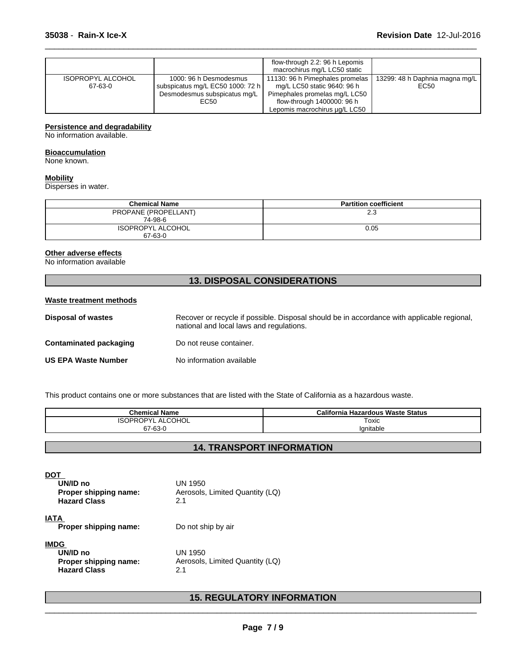|                          |                                  | flow-through 2.2: 96 h Lepomis<br>macrochirus mg/L LC50 static |                                |  |
|--------------------------|----------------------------------|----------------------------------------------------------------|--------------------------------|--|
| <b>ISOPROPYL ALCOHOL</b> | 1000: 96 h Desmodesmus           | 11130: 96 h Pimephales promelas                                | 13299: 48 h Daphnia magna mg/L |  |
| 67-63-0                  | subspicatus mg/L EC50 1000: 72 h | mg/L LC50 static 9640: 96 h                                    | EC50                           |  |
|                          | Desmodesmus subspicatus mg/L     | Pimephales promelas mg/L LC50                                  |                                |  |
|                          | EC50                             | flow-through 1400000: 96 h                                     |                                |  |
|                          |                                  | Lepomis macrochirus ug/L LC50                                  |                                |  |

 $\overline{\phantom{a}}$  ,  $\overline{\phantom{a}}$  ,  $\overline{\phantom{a}}$  ,  $\overline{\phantom{a}}$  ,  $\overline{\phantom{a}}$  ,  $\overline{\phantom{a}}$  ,  $\overline{\phantom{a}}$  ,  $\overline{\phantom{a}}$  ,  $\overline{\phantom{a}}$  ,  $\overline{\phantom{a}}$  ,  $\overline{\phantom{a}}$  ,  $\overline{\phantom{a}}$  ,  $\overline{\phantom{a}}$  ,  $\overline{\phantom{a}}$  ,  $\overline{\phantom{a}}$  ,  $\overline{\phantom{a}}$ 

# **Persistence and degradability**

No information available.

#### **Bioaccumulation**

None known.

# **Mobility**

Disperses in water.

| <b>Chemical Name</b>                | <b>Partition coefficient</b> |  |
|-------------------------------------|------------------------------|--|
| PROPANE (PROPELLANT)<br>74-98-6     | 2.3                          |  |
| <b>ISOPROPYL ALCOHOL</b><br>67-63-0 | 0.05                         |  |

# **Other adverse effects**

No information available

# **13. DISPOSAL CONSIDERATIONS**

## **Waste treatment methods**

| <b>Disposal of wastes</b>  | Recover or recycle if possible. Disposal should be in accordance with applicable regional.<br>national and local laws and regulations. |
|----------------------------|----------------------------------------------------------------------------------------------------------------------------------------|
| Contaminated packaging     | Do not reuse container.                                                                                                                |
| <b>US EPA Waste Number</b> | No information available                                                                                                               |

This product contains one or more substances that are listed with the State of California as a hazardous waste.

| .<br>Chemical Name                   | 'alifornia،<br><b>Hazardous Waste Status</b> |  |
|--------------------------------------|----------------------------------------------|--|
| <b>COHOL</b><br>∩DVI<br>12<br>╰<br>- | Toxic                                        |  |
| 67-63-0                              | 'anıtable                                    |  |

# **14. TRANSPORT INFORMATION**

**DOT** 

| UN/ID no<br>Proper shipping name:<br><b>Hazard Class</b>         | UN 1950<br>Aerosols, Limited Quantity (LQ)<br>2.1 |  |
|------------------------------------------------------------------|---------------------------------------------------|--|
| IATA<br>Proper shipping name:                                    | Do not ship by air                                |  |
| IMDG<br>UN/ID no<br>Proper shipping name:<br><b>Hazard Class</b> | UN 1950<br>Aerosols, Limited Quantity (LQ)<br>2.1 |  |

# **15. REGULATORY INFORMATION**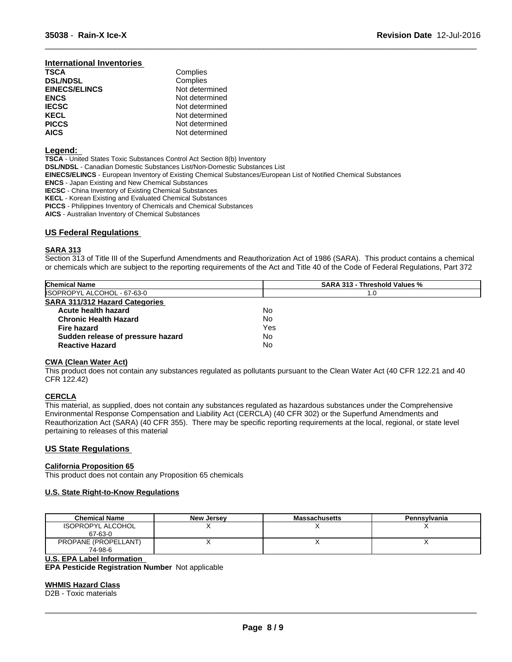#### **International Inventories**

| <b>TSCA</b>          | Complies       |  |
|----------------------|----------------|--|
| <b>DSL/NDSL</b>      | Complies       |  |
| <b>EINECS/ELINCS</b> | Not determined |  |
| <b>ENCS</b>          | Not determined |  |
| <b>IECSC</b>         | Not determined |  |
| <b>KECL</b>          | Not determined |  |
| <b>PICCS</b>         | Not determined |  |
| <b>AICS</b>          | Not determined |  |

# **Legend:**

**TSCA** - United States Toxic Substances Control Act Section 8(b) Inventory **DSL/NDSL** - Canadian Domestic Substances List/Non-Domestic Substances List **EINECS/ELINCS** - European Inventory of Existing Chemical Substances/European List of Notified Chemical Substances **ENCS** - Japan Existing and New Chemical Substances **IECSC** - China Inventory of Existing Chemical Substances **KECL** - Korean Existing and Evaluated Chemical Substances **PICCS** - Philippines Inventory of Chemicals and Chemical Substances **AICS** - Australian Inventory of Chemical Substances

# **US Federal Regulations**

# **SARA 313**

Section 313 of Title III of the Superfund Amendments and Reauthorization Act of 1986 (SARA). This product contains a chemical or chemicals which are subject to the reporting requirements of the Act and Title 40 of the Code of Federal Regulations, Part 372

 $\overline{\phantom{a}}$  ,  $\overline{\phantom{a}}$  ,  $\overline{\phantom{a}}$  ,  $\overline{\phantom{a}}$  ,  $\overline{\phantom{a}}$  ,  $\overline{\phantom{a}}$  ,  $\overline{\phantom{a}}$  ,  $\overline{\phantom{a}}$  ,  $\overline{\phantom{a}}$  ,  $\overline{\phantom{a}}$  ,  $\overline{\phantom{a}}$  ,  $\overline{\phantom{a}}$  ,  $\overline{\phantom{a}}$  ,  $\overline{\phantom{a}}$  ,  $\overline{\phantom{a}}$  ,  $\overline{\phantom{a}}$ 

| <b>SARA 313 - Threshold Values %</b> |  |
|--------------------------------------|--|
|                                      |  |
|                                      |  |
|                                      |  |
|                                      |  |
|                                      |  |
|                                      |  |
|                                      |  |
|                                      |  |

# **CWA** (Clean Water Act)

This product does not contain any substances regulated as pollutants pursuant to the Clean Water Act (40 CFR 122.21 and 40 CFR 122.42)

# **CERCLA**

This material, as supplied, does not contain any substances regulated as hazardous substances under the Comprehensive Environmental Response Compensation and Liability Act (CERCLA) (40 CFR 302) or the Superfund Amendments and Reauthorization Act (SARA) (40 CFR 355). There may be specific reporting requirements at the local, regional, or state level pertaining to releases of this material

# **US State Regulations**

# **California Proposition 65**

This product does not contain any Proposition 65 chemicals

# **U.S. State Right-to-Know Regulations**

| <b>Chemical Name</b>     | <b>New Jersey</b> | <b>Massachusetts</b> | Pennsylvania |
|--------------------------|-------------------|----------------------|--------------|
| <b>ISOPROPYL ALCOHOL</b> |                   |                      |              |
| 67-63-0                  |                   |                      |              |
| PROPANE (PROPELLANT)     |                   |                      |              |
| 74-98-6                  |                   |                      |              |

#### **U.S. EPA Label Information**

**EPA Pesticide Registration Number** Notapplicable

#### **WHMIS Hazard Class**

D2B - Toxic materials